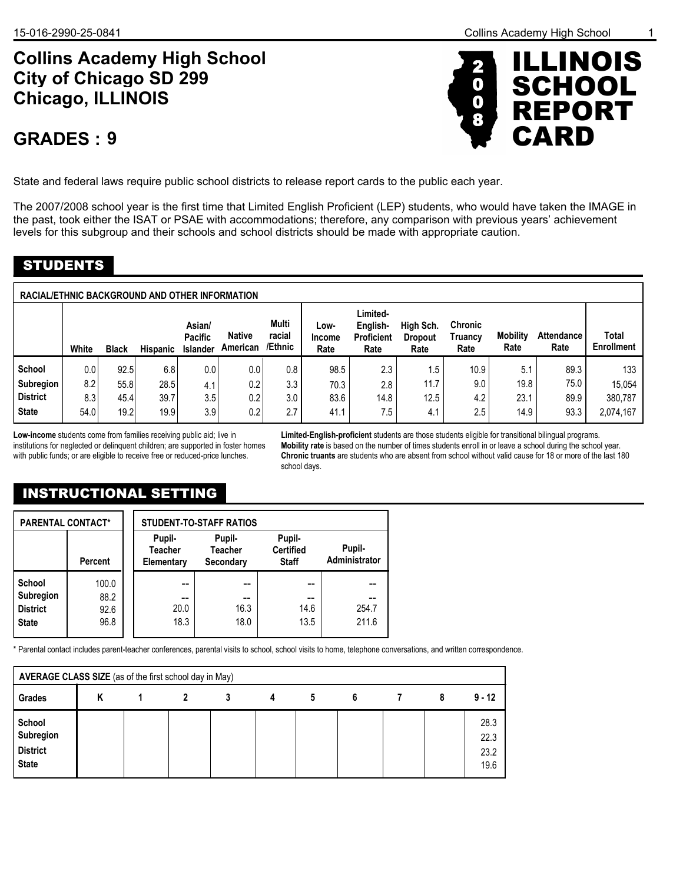# **Collins Academy High School Chicago, ILLINOIS City of Chicago SD 299**

## **9 GRADES :**



State and federal laws require public school districts to release report cards to the public each year.

The 2007/2008 school year is the first time that Limited English Proficient (LEP) students, who would have taken the IMAGE in the past, took either the ISAT or PSAE with accommodations; therefore, any comparison with previous years' achievement levels for this subgroup and their schools and school districts should be made with appropriate caution.

### STUDENTS

| <b>RACIAL/ETHNIC BACKGROUND AND OTHER INFORMATION</b> |       |              |          |                                      |                           |                            |                        |                                                   |                                     |                            |                         |                           |                            |
|-------------------------------------------------------|-------|--------------|----------|--------------------------------------|---------------------------|----------------------------|------------------------|---------------------------------------------------|-------------------------------------|----------------------------|-------------------------|---------------------------|----------------------------|
|                                                       | White | <b>Black</b> | Hispanic | Asian/<br><b>Pacific</b><br>Islander | <b>Native</b><br>American | Multi<br>racial<br>/Ethnic | Low-<br>Income<br>Rate | Limited-<br>English-<br><b>Proficient</b><br>Rate | High Sch.<br><b>Dropout</b><br>Rate | Chronic<br>Truancy<br>Rate | <b>Mobility</b><br>Rate | <b>Attendance</b><br>Rate | Total<br><b>Enrollment</b> |
| School                                                | 0.0   | 92.5         | 6.8      | 0.0                                  | 0.0                       | 0.8                        | 98.5                   | 2.3                                               | 1.5                                 | 10.9 <sup>°</sup>          | 5.1                     | 89.3                      | 133                        |
| Subregion                                             | 8.2   | 55.8         | 28.5     | 4.1                                  | 0.2                       | 3.3                        | 70.3                   | 2.8                                               | 11.7                                | 9.0                        | 19.8                    | 75.0                      | 15.054                     |
| <b>District</b>                                       | 8.3   | 45.4         | 39.7     | 3.5                                  | 0.2                       | 3.0                        | 83.6                   | 14.8                                              | 12.5                                | 4.2                        | 23.1                    | 89.9                      | 380,787                    |
| <b>State</b>                                          | 54.0  | 19.2         | 19.9     | 3.9                                  | 0.2                       | 2.7                        | 41.1                   | 7.5                                               | 4.1                                 | 2.5                        | 14.9                    | 93.3                      | 2,074,167                  |

**Low-income** students come from families receiving public aid; live in institutions for neglected or delinquent children; are supported in foster homes with public funds; or are eligible to receive free or reduced-price lunches.

**Limited-English-proficient** students are those students eligible for transitional bilingual programs. **Mobility rate** is based on the number of times students enroll in or leave a school during the school year. **Chronic truants** are students who are absent from school without valid cause for 18 or more of the last 180 school days.

## INSTRUCTIONAL SETTING

| <b>PARENTAL CONTACT*</b>                      |                       |  | <b>STUDENT-TO-STAFF RATIOS</b>         |                                       |                                            |                         |  |  |
|-----------------------------------------------|-----------------------|--|----------------------------------------|---------------------------------------|--------------------------------------------|-------------------------|--|--|
|                                               | Percent               |  | Pupil-<br><b>Teacher</b><br>Elementary | Pupil-<br><b>Teacher</b><br>Secondary | Pupil-<br><b>Certified</b><br><b>Staff</b> | Pupil-<br>Administrator |  |  |
| School<br><b>Subregion</b><br><b>District</b> | 100.0<br>88.2<br>92.6 |  | --<br>20.0                             | --<br>16.3                            | --<br>14.6                                 | 254.7                   |  |  |
| <b>State</b>                                  | 96.8                  |  | 18.3                                   | 18.0                                  | 13.5                                       | 211.6                   |  |  |

\* Parental contact includes parent-teacher conferences, parental visits to school, school visits to home, telephone conversations, and written correspondence.

| AVERAGE CLASS SIZE (as of the first school day in May) |  |  |  |   |   |   |   |  |                              |
|--------------------------------------------------------|--|--|--|---|---|---|---|--|------------------------------|
| Grades                                                 |  |  |  | 3 | 4 | 5 | 6 |  | $9 - 12$                     |
| School<br>Subregion<br><b>District</b><br><b>State</b> |  |  |  |   |   |   |   |  | 28.3<br>22.3<br>23.2<br>19.6 |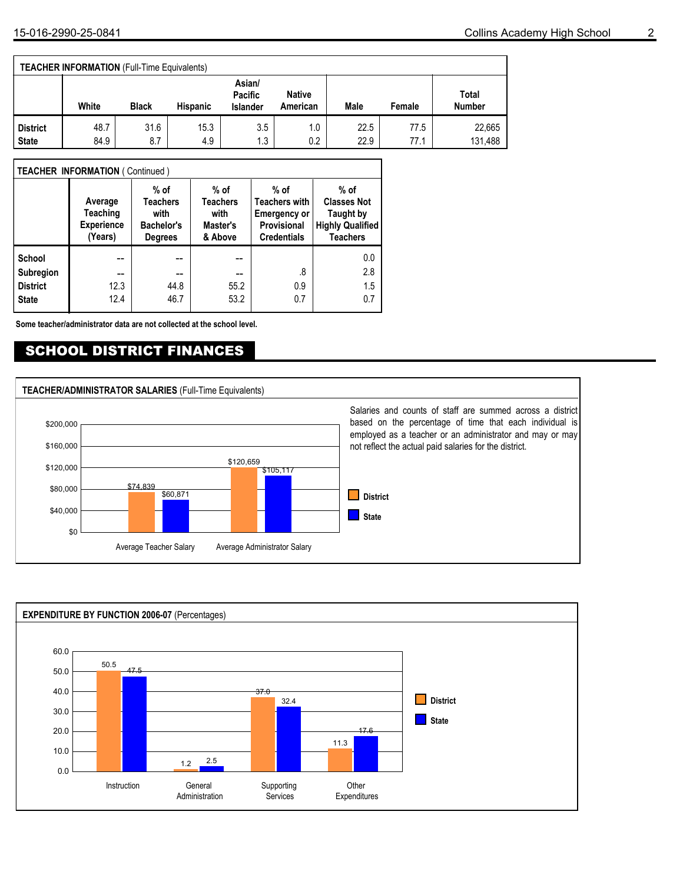#### **TEACHER INFORMATION** (Full-Time Equivalents)

|                 | White | <b>Black</b> | <b>Hispanic</b> | Asian/<br>Pacific<br><b>Islander</b> | <b>Native</b><br>American | Male | Female | Total<br><b>Number</b> |
|-----------------|-------|--------------|-----------------|--------------------------------------|---------------------------|------|--------|------------------------|
| <b>District</b> | 48.7  | 31.6         | 15.3            | 3.5                                  | 1.0                       | 22.5 | 77.5   | 22,665                 |
| <b>State</b>    | 84.9  | 8.7          | 4.9             | 1.3                                  | 0.2                       | 22.9 | 77.1   | 131,488                |

#### **TEACHER INFORMATION** ( Continued )

|                  | Average<br><b>Teaching</b><br><b>Experience</b><br>(Years) | $%$ of<br><b>Teachers</b><br>with<br><b>Bachelor's</b><br><b>Degrees</b> | $%$ of<br><b>Teachers</b><br>with<br>Master's<br>& Above | $%$ of<br><b>Teachers with</b><br><b>Emergency or</b><br><b>Provisional</b><br><b>Credentials</b> | % of<br><b>Classes Not</b><br><b>Taught by</b><br><b>Highly Qualified</b><br><b>Teachers</b> |
|------------------|------------------------------------------------------------|--------------------------------------------------------------------------|----------------------------------------------------------|---------------------------------------------------------------------------------------------------|----------------------------------------------------------------------------------------------|
| School           |                                                            |                                                                          |                                                          |                                                                                                   | 0.0                                                                                          |
| <b>Subregion</b> | --                                                         | --                                                                       | --                                                       | .8                                                                                                | 2.8                                                                                          |
| <b>District</b>  | 12.3                                                       | 44.8                                                                     | 55.2                                                     | 0.9                                                                                               | 1.5                                                                                          |
| <b>State</b>     | 12.4                                                       | 46.7                                                                     | 53.2                                                     | 0.7                                                                                               | 0.7                                                                                          |

**Some teacher/administrator data are not collected at the school level.**

### SCHOOL DISTRICT FINANCES



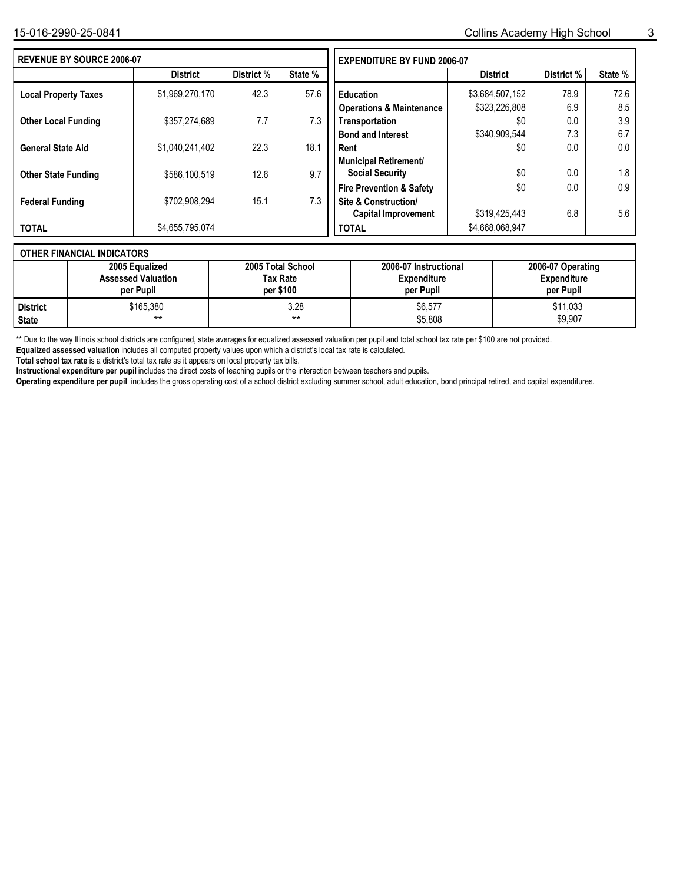| <b>REVENUE BY SOURCE 2006-07</b> |                 | <b>EXPENDITURE BY FUND 2006-07</b> |         |                                     |                 |            |         |
|----------------------------------|-----------------|------------------------------------|---------|-------------------------------------|-----------------|------------|---------|
|                                  | <b>District</b> | District %                         | State % |                                     | <b>District</b> | District % | State % |
| <b>Local Property Taxes</b>      | \$1,969,270,170 | 42.3                               | 57.6    | <b>Education</b>                    | \$3,684,507,152 | 78.9       | 72.6    |
|                                  |                 |                                    |         | <b>Operations &amp; Maintenance</b> | \$323,226,808   | 6.9        | 8.5     |
| <b>Other Local Funding</b>       | \$357,274,689   | 7.7                                | 7.3     | Transportation                      | \$0             | 0.0        | 3.9     |
|                                  |                 |                                    |         | <b>Bond and Interest</b>            | \$340,909,544   | 7.3        | 6.7     |
| <b>General State Aid</b>         | \$1,040,241,402 | 22.3                               | 18.1    | Rent                                | \$0             | 0.0        | 0.0     |
|                                  |                 |                                    |         | <b>Municipal Retirement/</b>        |                 |            |         |
| <b>Other State Funding</b>       | \$586.100.519   | 12.6                               | 9.7     | <b>Social Security</b>              | \$0             | 0.0        | 1.8     |
|                                  |                 |                                    |         | <b>Fire Prevention &amp; Safety</b> | \$0             | 0.0        | 0.9     |
| <b>Federal Funding</b>           | \$702,908,294   | 15.1                               | 7.3     | <b>Site &amp; Construction/</b>     |                 |            |         |
|                                  |                 |                                    |         | <b>Capital Improvement</b>          | \$319,425,443   | 6.8        | 5.6     |
| <b>TOTAL</b>                     | \$4,655,795,074 |                                    |         | <b>TOTAL</b>                        | \$4,668,068,947 |            |         |
|                                  |                 |                                    |         |                                     |                 |            |         |

### **OTHER FINANCIAL INDICATORS**

|                 | 2005 Equalized            | 2005 Total School | 2006-07 Instructional | 2006-07 Operating  |
|-----------------|---------------------------|-------------------|-----------------------|--------------------|
|                 | <b>Assessed Valuation</b> | Tax Rate          | <b>Expenditure</b>    | <b>Expenditure</b> |
|                 | per Pupil                 | per \$100         | per Pupil             | per Pupil          |
| <b>District</b> | \$165.380                 | 3.28              | \$6,577               | \$11,033           |
| <b>State</b>    | $***$                     | **                | \$5,808               | \$9,907            |

\*\* Due to the way Illinois school districts are configured, state averages for equalized assessed valuation per pupil and total school tax rate per \$100 are not provided.

**Equalized assessed valuation** includes all computed property values upon which a district's local tax rate is calculated.

**Total school tax rate** is a district's total tax rate as it appears on local property tax bills.

**Instructional expenditure per pupil** includes the direct costs of teaching pupils or the interaction between teachers and pupils.

**Operating expenditure per pupil** includes the gross operating cost of a school district excluding summer school, adult education, bond principal retired, and capital expenditures.